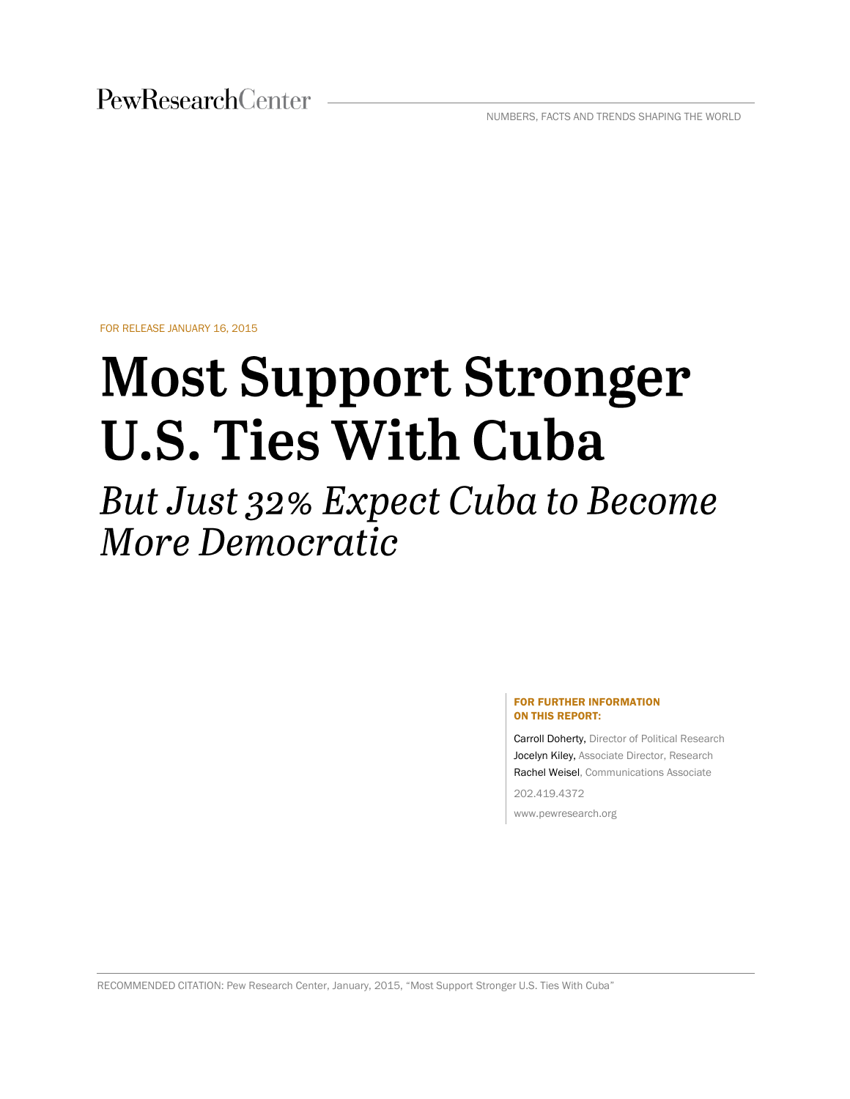PewResearchCenter

NUMBERS, FACTS AND TRENDS SHAPING THE WORLD

FOR RELEASE JANUARY 16, 2015

# **Most Support Stronger U.S. Ties With Cuba**

But Just 32% Expect Cuba to Become More Democratic

#### FOR FURTHER INFORMATION ON THIS REPORT:

Carroll Doherty, Director of Political Research Jocelyn Kiley, Associate Director, Research Rachel Weisel, Communications Associate

202.419.4372

www.pewresearch.org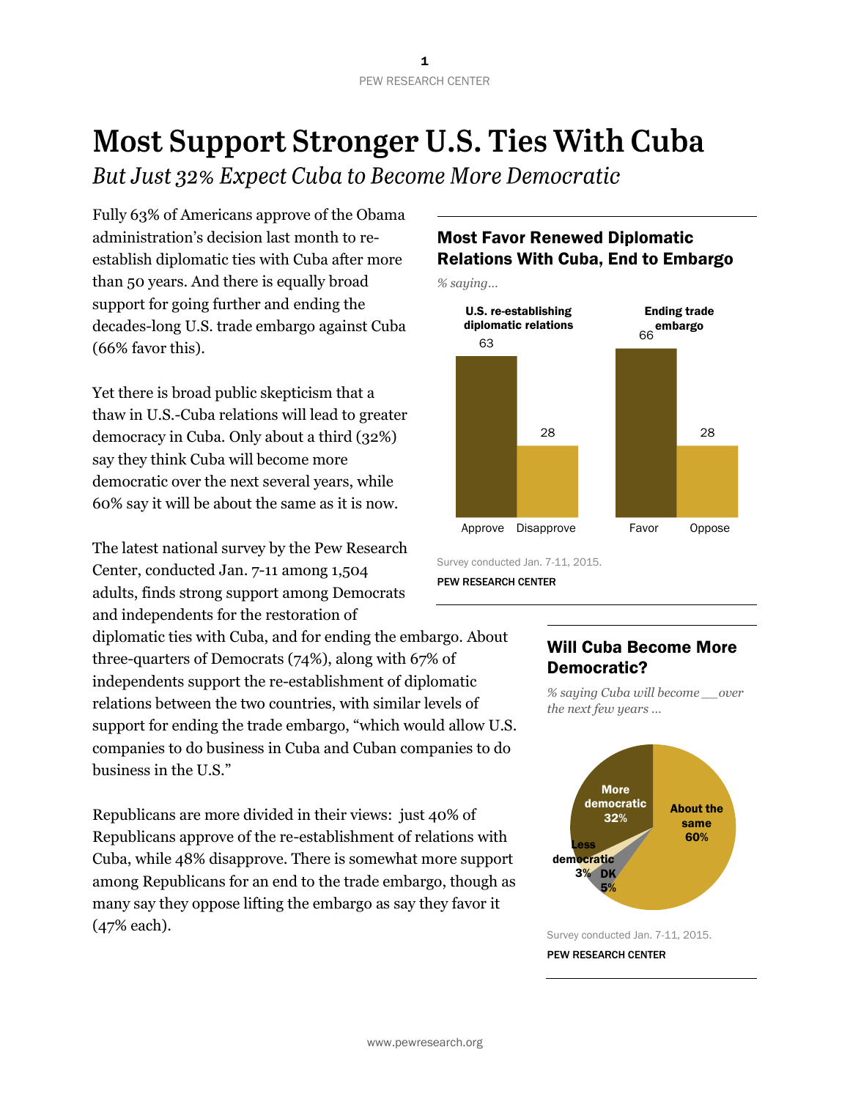## **Most Support Stronger U.S. Ties With Cuba**

But Just 32% Expect Cuba to Become More Democratic

Fully 63% of Americans approve of the Obama administration's decision last month to reestablish diplomatic ties with Cuba after more than 50 years. And there is equally broad support for going further and ending the decades-long U.S. trade embargo against Cuba (66% favor this).

Yet there is broad public skepticism that a thaw in U.S.-Cuba relations will lead to greater democracy in Cuba. Only about a third (32%) say they think Cuba will become more democratic over the next several years, while 60% say it will be about the same as it is now.

The latest national survey by the Pew Research Center, conducted Jan. 7-11 among 1,504 adults, finds strong support among Democrats and independents for the restoration of

diplomatic ties with Cuba, and for ending the embargo. About three-quarters of Democrats (74%), along with 67% of independents support the re-establishment of diplomatic relations between the two countries, with similar levels of support for ending the trade embargo, "which would allow U.S. companies to do business in Cuba and Cuban companies to do business in the U.S."

Republicans are more divided in their views: just 40% of Republicans approve of the re-establishment of relations with Cuba, while 48% disapprove. There is somewhat more support among Republicans for an end to the trade embargo, though as many say they oppose lifting the embargo as say they favor it (47% each).

## Most Favor Renewed Diplomatic Relations With Cuba, End to Embargo

*% saying…*



Survey conducted Jan. 7-11, 2015.

PEW RESEARCH CENTER

## Will Cuba Become More Democratic?

*% saying Cuba will become \_\_over the next few years …*



#### PEW RESEARCH CENTER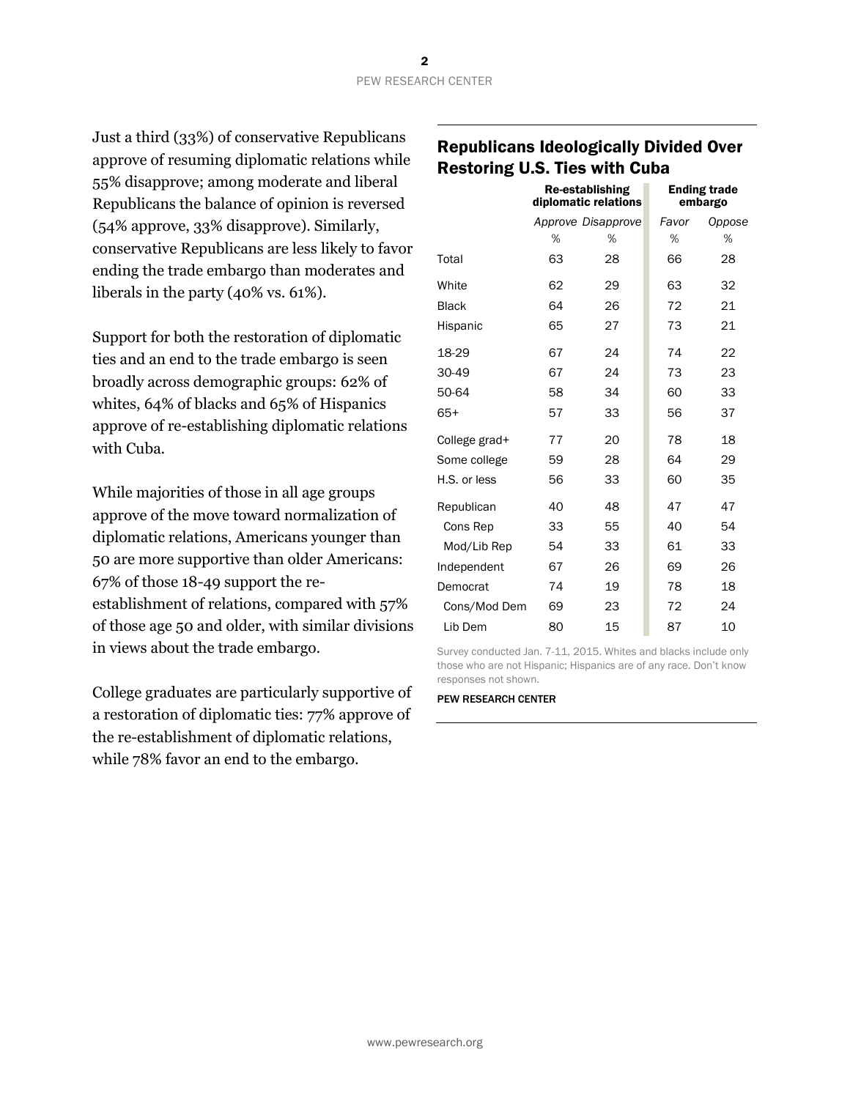Just a third (33%) of conservative Republicans approve of resuming diplomatic relations while 55% disapprove; among moderate and liberal Republicans the balance of opinion is reversed (54% approve, 33% disapprove). Similarly, conservative Republicans are less likely to favor ending the trade embargo than moderates and liberals in the party (40% vs. 61%).

Support for both the restoration of diplomatic ties and an end to the trade embargo is seen broadly across demographic groups: 62% of whites, 64% of blacks and 65% of Hispanics approve of re-establishing diplomatic relations with Cuba.

While majorities of those in all age groups approve of the move toward normalization of diplomatic relations, Americans younger than 50 are more supportive than older Americans: 67% of those 18-49 support the reestablishment of relations, compared with 57% of those age 50 and older, with similar divisions in views about the trade embargo.

College graduates are particularly supportive of a restoration of diplomatic ties: 77% approve of the re-establishment of diplomatic relations, while 78% favor an end to the embargo.

## Republicans Ideologically Divided Over Restoring U.S. Ties with Cuba

|               | Re-establishing<br>diplomatic relations |                    |       | <b>Ending trade</b><br>embargo |
|---------------|-----------------------------------------|--------------------|-------|--------------------------------|
|               |                                         | Approve Disapprove | Favor | Oppose                         |
|               | %                                       | %                  | %     | %                              |
| Total         | 63                                      | 28                 | 66    | 28                             |
| White         | 62                                      | 29                 | 63    | 32                             |
| <b>Black</b>  | 64                                      | 26                 | 72    | 21                             |
| Hispanic      | 65                                      | 27                 | 73    | 21                             |
| 18-29         | 67                                      | 24                 | 74    | 22                             |
| 30-49         | 67                                      | 24                 | 73    | 23                             |
| 50-64         | 58                                      | 34                 | 60    | 33                             |
| $65+$         | 57                                      | 33                 | 56    | 37                             |
| College grad+ | 77                                      | 20                 | 78    | 18                             |
| Some college  | 59                                      | 28                 | 64    | 29                             |
| H.S. or less  | 56                                      | 33                 | 60    | 35                             |
| Republican    | 40                                      | 48                 | 47    | 47                             |
| Cons Rep      | 33                                      | 55                 | 40    | 54                             |
| Mod/Lib Rep   | 54                                      | 33                 | 61    | 33                             |
| Independent   | 67                                      | 26                 | 69    | 26                             |
| Democrat      | 74                                      | 19                 | 78    | 18                             |
| Cons/Mod Dem  | 69                                      | 23                 | 72    | 24                             |
| Lib Dem       | 80                                      | 15                 | 87    | 10                             |

Survey conducted Jan. 7-11, 2015. Whites and blacks include only those who are not Hispanic; Hispanics are of any race. Don't know responses not shown.

#### PEW RESEARCH CENTER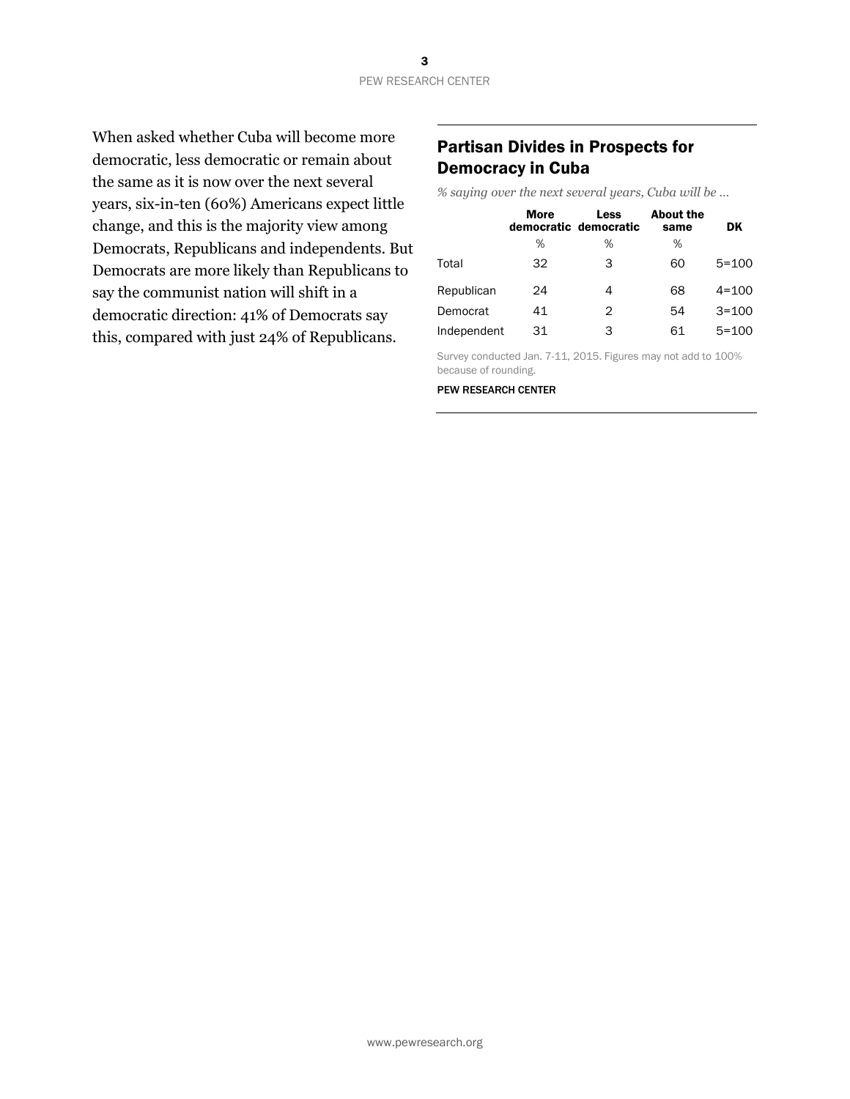When asked whether Cuba will become more democratic, less democratic or remain about the same as it is now over the next several years, six-in-ten (60%) Americans expect little change, and this is the majority view among Democrats, Republicans and independents. But Democrats are more likely than Republicans to say the communist nation will shift in a democratic direction: 41% of Democrats say this, compared with just 24% of Republicans.

## Partisan Divides in Prospects for Democracy in Cuba

*% saying over the next several years, Cuba will be …*

|             | <b>More</b> | Less<br>democratic democratic | <b>About the</b><br>same | DK        |
|-------------|-------------|-------------------------------|--------------------------|-----------|
|             | %           | %                             | %                        |           |
| Total       | 32          | 3                             | 60                       | $5 = 100$ |
| Republican  | 24          | 4                             | 68                       | $4 = 100$ |
| Democrat    | 41          | 2                             | 54                       | $3 = 100$ |
| Independent | 31          | 3                             | 61                       | $5 = 100$ |

Survey conducted Jan. 7-11, 2015. Figures may not add to 100% because of rounding.

PEW RESEARCH CENTER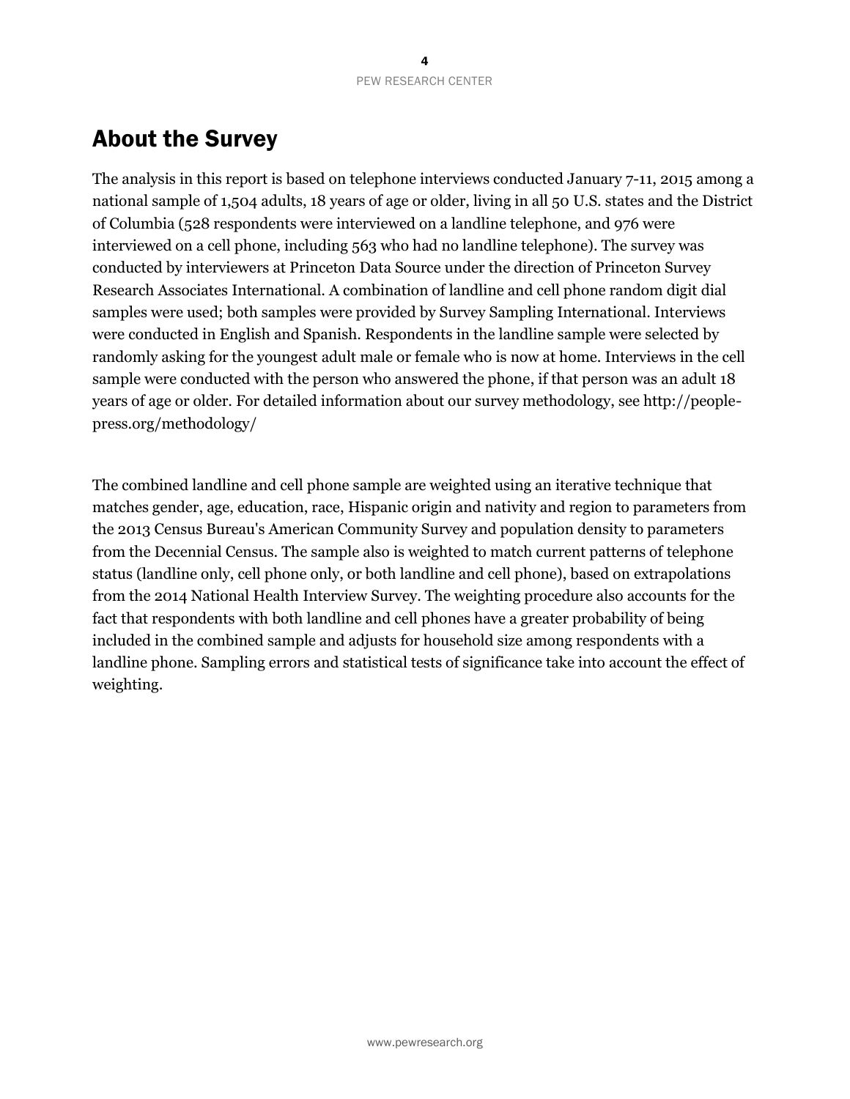## About the Survey

The analysis in this report is based on telephone interviews conducted January 7-11, 2015 among a national sample of 1,504 adults, 18 years of age or older, living in all 50 U.S. states and the District of Columbia (528 respondents were interviewed on a landline telephone, and 976 were interviewed on a cell phone, including 563 who had no landline telephone). The survey was conducted by interviewers at Princeton Data Source under the direction of Princeton Survey Research Associates International. A combination of landline and cell phone random digit dial samples were used; both samples were provided by Survey Sampling International. Interviews were conducted in English and Spanish. Respondents in the landline sample were selected by randomly asking for the youngest adult male or female who is now at home. Interviews in the cell sample were conducted with the person who answered the phone, if that person was an adult 18 years of age or older. For detailed information about our survey methodology, see http://peoplepress.org/methodology/

The combined landline and cell phone sample are weighted using an iterative technique that matches gender, age, education, race, Hispanic origin and nativity and region to parameters from the 2013 Census Bureau's American Community Survey and population density to parameters from the Decennial Census. The sample also is weighted to match current patterns of telephone status (landline only, cell phone only, or both landline and cell phone), based on extrapolations from the 2014 National Health Interview Survey. The weighting procedure also accounts for the fact that respondents with both landline and cell phones have a greater probability of being included in the combined sample and adjusts for household size among respondents with a landline phone. Sampling errors and statistical tests of significance take into account the effect of weighting.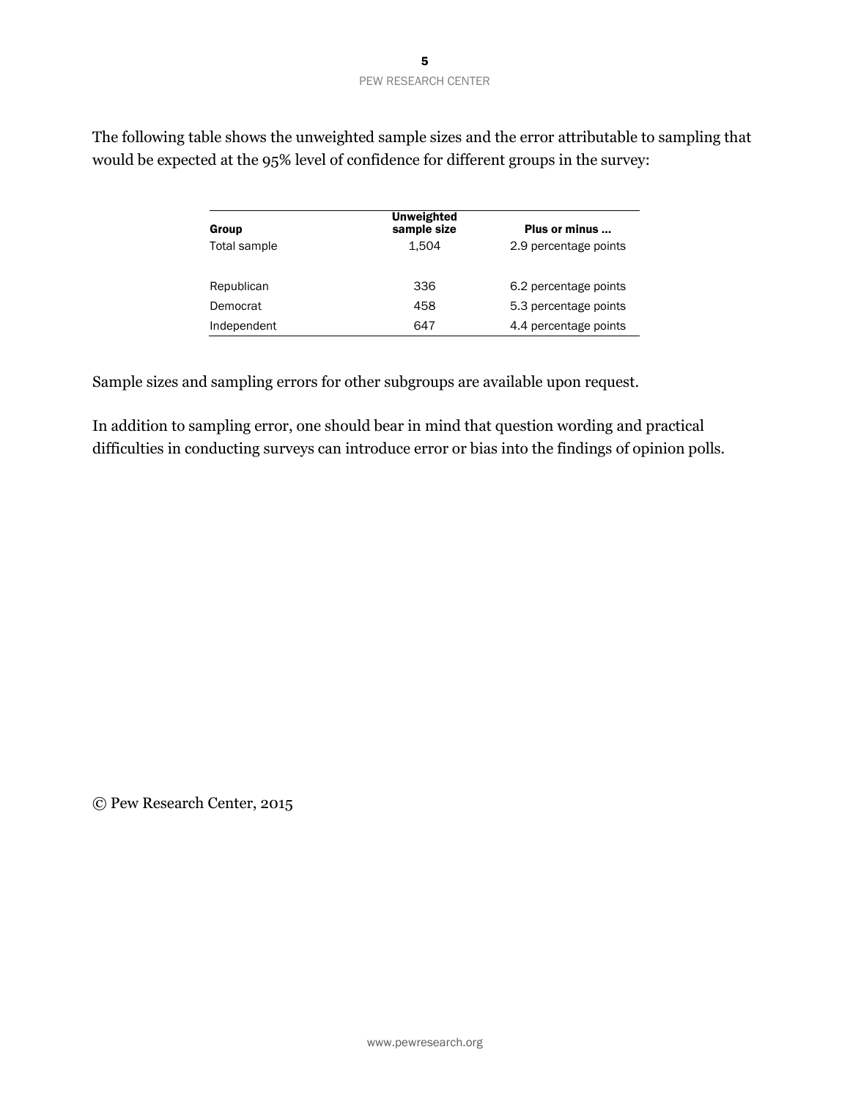| Group        | Unweighted<br>sample size | Plus or minus         |
|--------------|---------------------------|-----------------------|
| Total sample | 1.504                     | 2.9 percentage points |
| Republican   | 336                       | 6.2 percentage points |
| Democrat     | 458                       | 5.3 percentage points |
| Independent  | 647                       | 4.4 percentage points |

The following table shows the unweighted sample sizes and the error attributable to sampling that would be expected at the 95% level of confidence for different groups in the survey:

Sample sizes and sampling errors for other subgroups are available upon request.

In addition to sampling error, one should bear in mind that question wording and practical difficulties in conducting surveys can introduce error or bias into the findings of opinion polls.

© Pew Research Center, 2015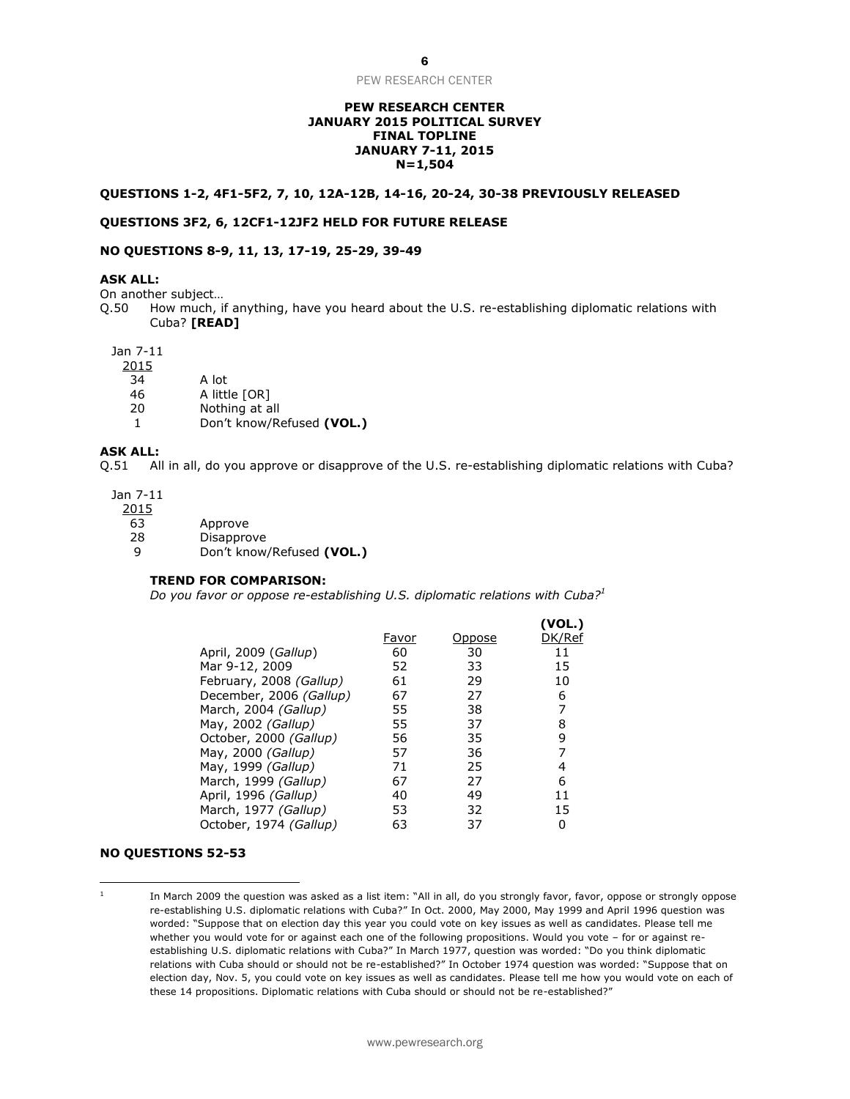#### **PEW RESEARCH CENTER JANUARY 2015 POLITICAL SURVEY FINAL TOPLINE JANUARY 7-11, 2015 N=1,504**

#### **QUESTIONS 1-2, 4F1-5F2, 7, 10, 12A-12B, 14-16, 20-24, 30-38 PREVIOUSLY RELEASED**

#### **QUESTIONS 3F2, 6, 12CF1-12JF2 HELD FOR FUTURE RELEASE**

#### **NO QUESTIONS 8-9, 11, 13, 17-19, 25-29, 39-49**

#### **ASK ALL:**

On another subject…

Q.50 How much, if anything, have you heard about the U.S. re-establishing diplomatic relations with Cuba? **[READ]**

#### Jan 7-11

2015

- 34 A lot
- 46 A little [OR]
- 20 Nothing at all
- 1 Don't know/Refused **(VOL.)**

#### **ASK ALL:**

Q.51 All in all, do you approve or disapprove of the U.S. re-establishing diplomatic relations with Cuba?

Jan 7-11

2015

- 63 Approve
- 28 Disapprove
- 9 Don't know/Refused **(VOL.)**

#### **TREND FOR COMPARISON:**

*Do you favor or oppose re-establishing U.S. diplomatic relations with Cuba?<sup>1</sup>*

|                         |       |        | (VOL.) |
|-------------------------|-------|--------|--------|
|                         | Favor | Oppose | DK/Ref |
| April, 2009 (Gallup)    | 60    | 30     | 11     |
| Mar 9-12, 2009          | 52    | 33     | 15     |
| February, 2008 (Gallup) | 61    | 29     | 10     |
| December, 2006 (Gallup) | 67    | 27     | 6      |
| March, 2004 (Gallup)    | 55    | 38     | 7      |
| May, 2002 (Gallup)      | 55    | 37     | 8      |
| October, 2000 (Gallup)  | 56    | 35     | 9      |
| May, 2000 (Gallup)      | 57    | 36     | 7      |
| May, 1999 (Gallup)      | 71    | 25     | 4      |
| March, 1999 (Gallup)    | 67    | 27     | 6      |
| April, 1996 (Gallup)    | 40    | 49     | 11     |
| March, 1977 (Gallup)    | 53    | 32     | 15     |
| October, 1974 (Gallup)  | 63    | 37     | 0      |

#### **NO QUESTIONS 52-53**

 $\overline{\phantom{a}}$ 

1 In March 2009 the question was asked as a list item: "All in all, do you strongly favor, favor, oppose or strongly oppose re-establishing U.S. diplomatic relations with Cuba?" In Oct. 2000, May 2000, May 1999 and April 1996 question was worded: "Suppose that on election day this year you could vote on key issues as well as candidates. Please tell me whether you would vote for or against each one of the following propositions. Would you vote – for or against reestablishing U.S. diplomatic relations with Cuba?" In March 1977, question was worded: "Do you think diplomatic relations with Cuba should or should not be re-established?" In October 1974 question was worded: "Suppose that on election day, Nov. 5, you could vote on key issues as well as candidates. Please tell me how you would vote on each of these 14 propositions. Diplomatic relations with Cuba should or should not be re-established?"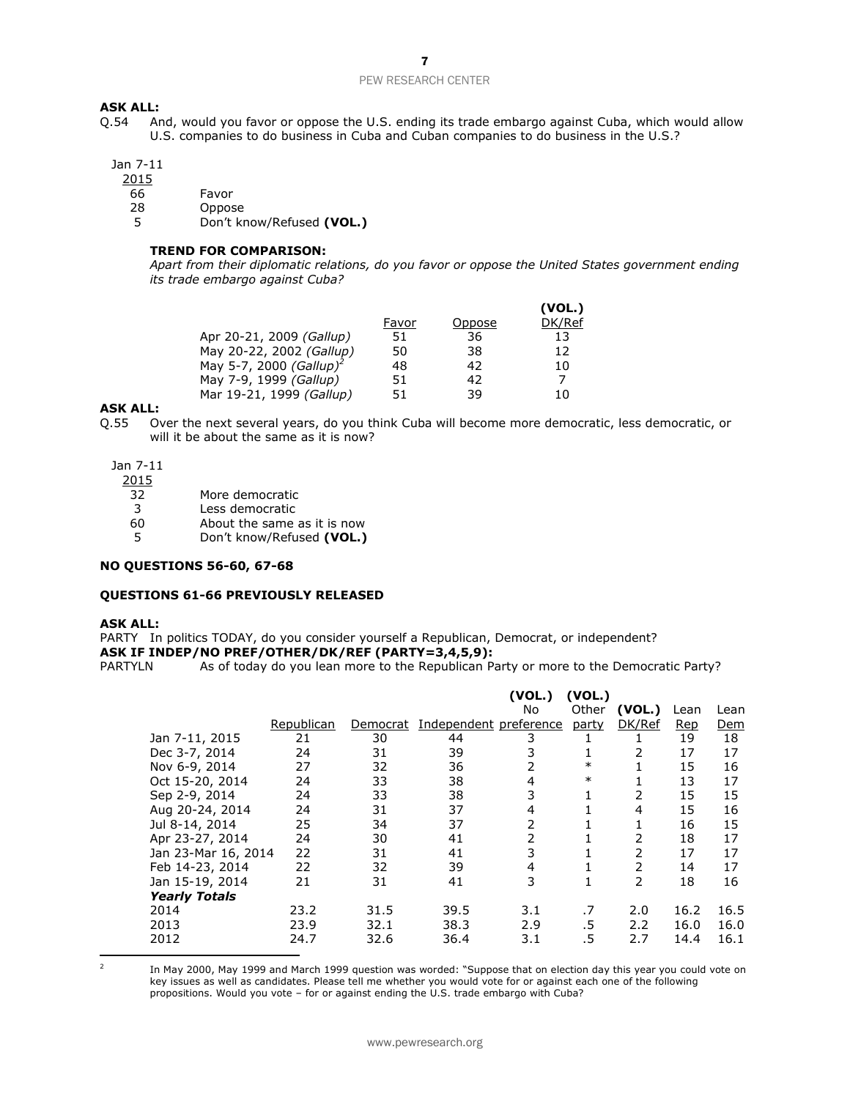#### **ASK ALL:**

Q.54 And, would you favor or oppose the U.S. ending its trade embargo against Cuba, which would allow U.S. companies to do business in Cuba and Cuban companies to do business in the U.S.?

#### Jan 7-11

2015

- 66 Favor
- 28 Oppose
- 5 Don't know/Refused **(VOL.)**

#### **TREND FOR COMPARISON:**

*Apart from their diplomatic relations, do you favor or oppose the United States government ending its trade embargo against Cuba?*

|                                     |       |        | (VOL.) |
|-------------------------------------|-------|--------|--------|
|                                     | Favor | Oppose | DK/Ref |
| Apr 20-21, 2009 (Gallup)            | 51    | 36     | 13     |
| May 20-22, 2002 (Gallup)            | 50    | 38     | 12     |
| May 5-7, 2000 (Gallup) <sup>2</sup> | 48    | 42     | 10     |
| May 7-9, 1999 (Gallup)              | 51    | 42     | 7      |
| Mar 19-21, 1999 (Gallup)            | 51    | 39     | 10     |

#### **ASK ALL:**

Q.55 Over the next several years, do you think Cuba will become more democratic, less democratic, or will it be about the same as it is now?

Jan 7-11

2015

- 32 More democratic
- 3 Less democratic
- 60 About the same as it is now
- 5 Don't know/Refused **(VOL.)**

#### **NO QUESTIONS 56-60, 67-68**

#### **QUESTIONS 61-66 PREVIOUSLY RELEASED**

#### **ASK ALL:**

PARTY In politics TODAY, do you consider yourself a Republican, Democrat, or independent? **ASK IF INDEP/NO PREF/OTHER/DK/REF (PARTY=3,4,5,9):**

PARTYLN As of today do you lean more to the Republican Party or more to the Democratic Party?

|                      |            |          |                        | (VOL.)<br>No | (VOL.)<br>Other | (VOL.) | Lean       | Lean       |
|----------------------|------------|----------|------------------------|--------------|-----------------|--------|------------|------------|
|                      | Republican | Democrat | Independent preference |              | party           | DK/Ref | <b>Rep</b> | <u>Dem</u> |
| Jan 7-11, 2015       | 21         | 30       | 44                     | 3            |                 |        | 19         | 18         |
| Dec 3-7, 2014        | 24         | 31       | 39                     | 3            | 1               | 2      | 17         | 17         |
| Nov 6-9, 2014        | 27         | 32       | 36                     | 2            | $\ast$          |        | 15         | 16         |
| Oct 15-20, 2014      | 24         | 33       | 38                     | 4            | $\ast$          |        | 13         | 17         |
| Sep 2-9, 2014        | 24         | 33       | 38                     | 3            | 1               | 2      | 15         | 15         |
| Aug 20-24, 2014      | 24         | 31       | 37                     | 4            |                 | 4      | 15         | 16         |
| Jul 8-14, 2014       | 25         | 34       | 37                     | 2            |                 |        | 16         | 15         |
| Apr 23-27, 2014      | 24         | 30       | 41                     | 2            |                 | 2      | 18         | 17         |
| Jan 23-Mar 16, 2014  | 22         | 31       | 41                     | 3            |                 | 2      | 17         | 17         |
| Feb 14-23, 2014      | 22         | 32       | 39                     | 4            |                 | 2      | 14         | 17         |
| Jan 15-19, 2014      | 21         | 31       | 41                     | 3            | 1               | 2      | 18         | 16         |
| <b>Yearly Totals</b> |            |          |                        |              |                 |        |            |            |
| 2014                 | 23.2       | 31.5     | 39.5                   | 3.1          | .7              | 2.0    | 16.2       | 16.5       |
| 2013                 | 23.9       | 32.1     | 38.3                   | 2.9          | .5              | 2.2    | 16.0       | 16.0       |
| 2012                 | 24.7       | 32.6     | 36.4                   | 3.1          | .5              | 2.7    | 14.4       | 16.1       |

  $\overline{2}$ 

In May 2000, May 1999 and March 1999 question was worded: "Suppose that on election day this year you could vote on key issues as well as candidates. Please tell me whether you would vote for or against each one of the following propositions. Would you vote - for or against ending the U.S. trade embargo with Cuba?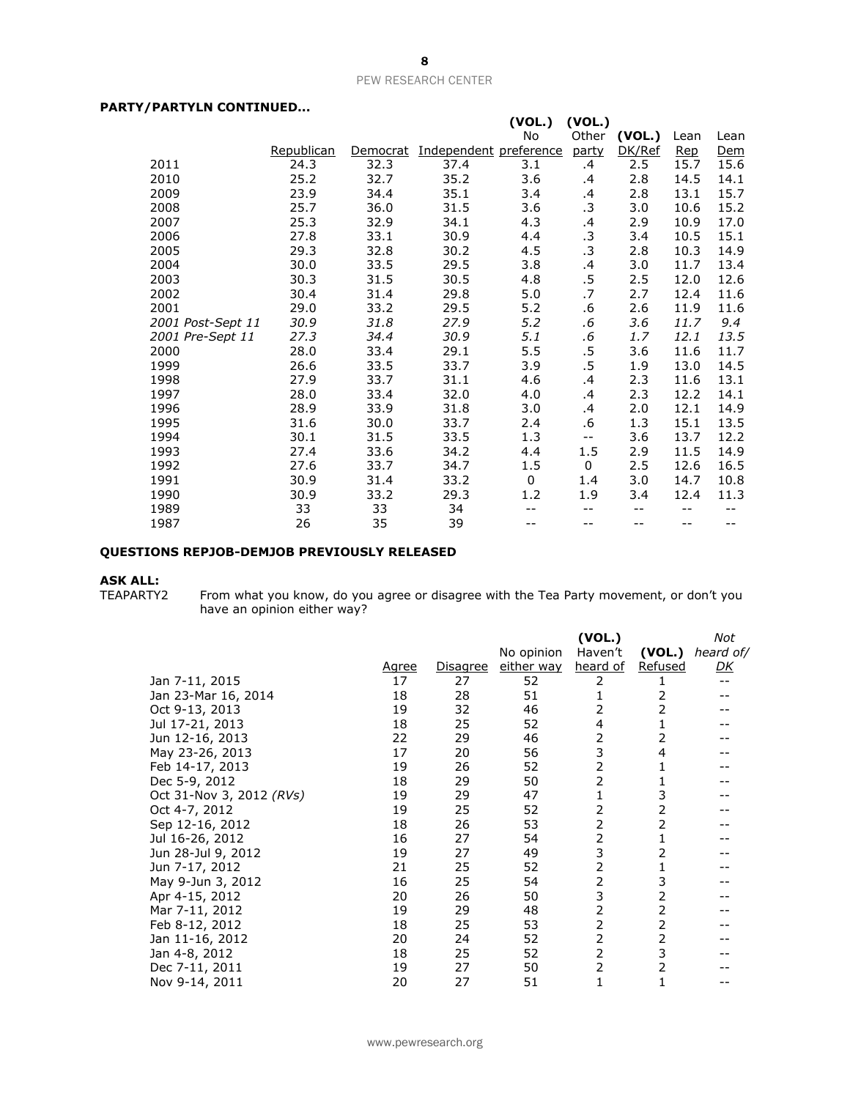#### **PARTY/PARTYLN CONTINUED...**

| / PARI ILN CUNILNUED |            |          |                        |        |           |        |      |      |
|----------------------|------------|----------|------------------------|--------|-----------|--------|------|------|
|                      |            |          |                        | (VOL.) | (VOL.)    |        |      |      |
|                      |            |          |                        | No     | Other     | (VOL.) | Lean | Lean |
|                      | Republican | Democrat | Independent preference |        | party     | DK/Ref | Rep  | Dem  |
| 2011                 | 24.3       | 32.3     | 37.4                   | 3.1    | .4        | 2.5    | 15.7 | 15.6 |
| 2010                 | 25.2       | 32.7     | 35.2                   | 3.6    | .4        | 2.8    | 14.5 | 14.1 |
| 2009                 | 23.9       | 34.4     | 35.1                   | 3.4    | .4        | 2.8    | 13.1 | 15.7 |
| 2008                 | 25.7       | 36.0     | 31.5                   | 3.6    | $\cdot$ 3 | 3.0    | 10.6 | 15.2 |
| 2007                 | 25.3       | 32.9     | 34.1                   | 4.3    | $\cdot$   | 2.9    | 10.9 | 17.0 |
| 2006                 | 27.8       | 33.1     | 30.9                   | 4.4    | $\cdot$ 3 | 3.4    | 10.5 | 15.1 |
| 2005                 | 29.3       | 32.8     | 30.2                   | 4.5    | $\cdot$ 3 | 2.8    | 10.3 | 14.9 |
| 2004                 | 30.0       | 33.5     | 29.5                   | 3.8    | .4        | 3.0    | 11.7 | 13.4 |
| 2003                 | 30.3       | 31.5     | 30.5                   | 4.8    | $.5\,$    | 2.5    | 12.0 | 12.6 |
| 2002                 | 30.4       | 31.4     | 29.8                   | 5.0    | .7        | 2.7    | 12.4 | 11.6 |
| 2001                 | 29.0       | 33.2     | 29.5                   | 5.2    | .6        | 2.6    | 11.9 | 11.6 |
| 2001 Post-Sept 11    | 30.9       | 31.8     | 27.9                   | 5.2    | .6        | 3.6    | 11.7 | 9.4  |
| 2001 Pre-Sept 11     | 27.3       | 34.4     | 30.9                   | 5.1    | .6        | 1.7    | 12.1 | 13.5 |
| 2000                 | 28.0       | 33.4     | 29.1                   | 5.5    | .5        | 3.6    | 11.6 | 11.7 |
| 1999                 | 26.6       | 33.5     | 33.7                   | 3.9    | $.5\,$    | 1.9    | 13.0 | 14.5 |
| 1998                 | 27.9       | 33.7     | 31.1                   | 4.6    | .4        | 2.3    | 11.6 | 13.1 |
| 1997                 | 28.0       | 33.4     | 32.0                   | 4.0    | .4        | 2.3    | 12.2 | 14.1 |
| 1996                 | 28.9       | 33.9     | 31.8                   | 3.0    | .4        | 2.0    | 12.1 | 14.9 |
| 1995                 | 31.6       | 30.0     | 33.7                   | 2.4    | .6        | 1.3    | 15.1 | 13.5 |
| 1994                 | 30.1       | 31.5     | 33.5                   | 1.3    | $- -$     | 3.6    | 13.7 | 12.2 |
| 1993                 | 27.4       | 33.6     | 34.2                   | 4.4    | 1.5       | 2.9    | 11.5 | 14.9 |
| 1992                 | 27.6       | 33.7     | 34.7                   | 1.5    | 0         | 2.5    | 12.6 | 16.5 |
| 1991                 | 30.9       | 31.4     | 33.2                   | 0      | 1.4       | 3.0    | 14.7 | 10.8 |
| 1990                 | 30.9       | 33.2     | 29.3                   | 1.2    | 1.9       | 3.4    | 12.4 | 11.3 |
| 1989                 | 33         | 33       | 34                     |        | --        | --     | --   |      |
| 1987                 | 26         | 35       | 39                     |        | --        | $- -$  | --   | --   |

#### **QUESTIONS REPJOB-DEMJOB PREVIOUSLY RELEASED**

**ASK ALL:**

TEAPARTY2 From what you know, do you agree or disagree with the Tea Party movement, or don't you have an opinion either way?

|                          | <u>Agree</u> | Disagree | No opinion<br>either way | (VOL.)<br>Haven't<br>heard of | (VOL.)<br><b>Refused</b> | Not<br>heard of/<br><u>DК</u> |
|--------------------------|--------------|----------|--------------------------|-------------------------------|--------------------------|-------------------------------|
| Jan 7-11, 2015           | 17           | 27       | 52                       | 2                             |                          | $- -$                         |
| Jan 23-Mar 16, 2014      | 18           | 28       | 51                       |                               | 2                        |                               |
| Oct 9-13, 2013           | 19           | 32       | 46                       | 2                             | 2                        |                               |
| Jul 17-21, 2013          | 18           | 25       | 52                       | 4                             |                          |                               |
| Jun 12-16, 2013          | 22           | 29       | 46                       | 2                             | 2                        |                               |
| May 23-26, 2013          | 17           | 20       | 56                       | 3                             | 4                        |                               |
| Feb 14-17, 2013          | 19           | 26       | 52                       | 2                             |                          |                               |
| Dec 5-9, 2012            | 18           | 29       | 50                       | 2                             |                          |                               |
| Oct 31-Nov 3, 2012 (RVs) | 19           | 29       | 47                       | 1                             | 3                        |                               |
| Oct 4-7, 2012            | 19           | 25       | 52                       | 2                             | 2                        |                               |
| Sep 12-16, 2012          | 18           | 26       | 53                       | $\overline{2}$                | 2                        |                               |
| Jul 16-26, 2012          | 16           | 27       | 54                       | 2                             |                          |                               |
| Jun 28-Jul 9, 2012       | 19           | 27       | 49                       | 3                             | 2                        |                               |
| Jun 7-17, 2012           | 21           | 25       | 52                       | 2                             |                          |                               |
| May 9-Jun 3, 2012        | 16           | 25       | 54                       | 2                             | 3                        |                               |
| Apr 4-15, 2012           | 20           | 26       | 50                       | 3                             | 2                        |                               |
| Mar 7-11, 2012           | 19           | 29       | 48                       | 2                             | 2                        |                               |
| Feb 8-12, 2012           | 18           | 25       | 53                       | 2                             | 2                        |                               |
| Jan 11-16, 2012          | 20           | 24       | 52                       | 2                             | 2                        |                               |
| Jan 4-8, 2012            | 18           | 25       | 52                       | 2                             | 3                        |                               |
| Dec 7-11, 2011           | 19           | 27       | 50                       | 2                             | 2                        |                               |
| Nov 9-14, 2011           | 20           | 27       | 51                       | 1                             |                          |                               |